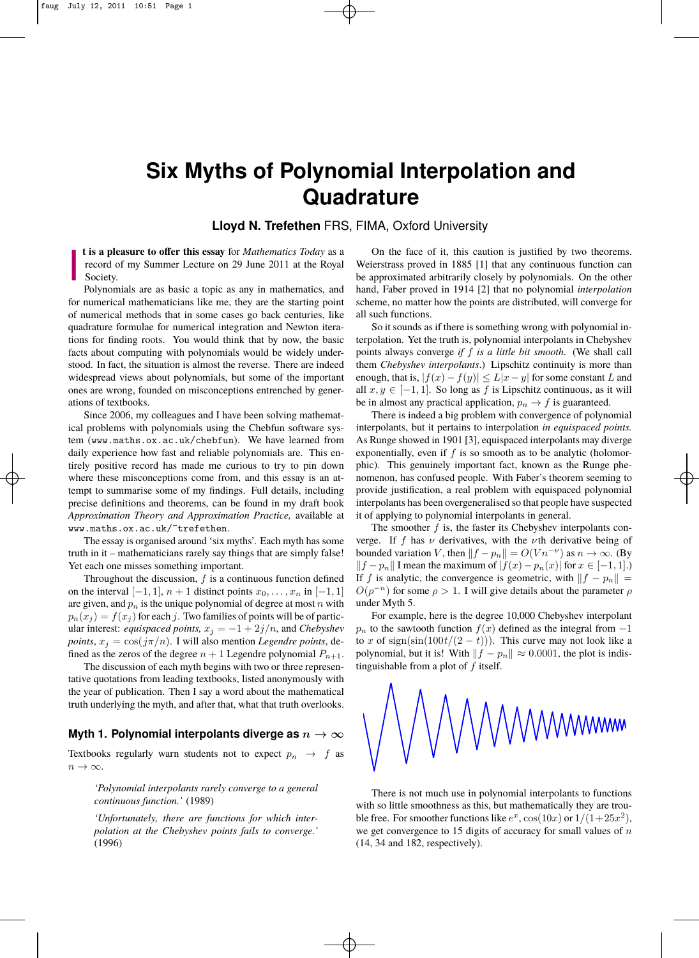# **Six Myths of Polynomial Interpolation and Quadrature**

## **Lloyd N. Trefethen** FRS, FIMA, Oxford University

☛ ✡ ✟ ✠

it is rarely used in practical computations." (1985)

✡ ✟ ✠

**Includes t is a pleasure to offer this essay** for *Mathematics Today* as a record of my Summer Lecture on 29 June 2011 at the Royal Society.

Polynomials are as basic a topic as any in mathematics, and for numerical mathematicians like me, they are the starting point of numerical methods that in some cases go back centuries, like quadrature formulae for numerical integration and Newton iterations for finding roots. You would think that by now, the basic facts about computing with polynomials would be widely understood. In fact, the situation is almost the reverse. There are indeed widespread views about polynomials, but some of the important ones are wrong, founded on misconceptions entrenched by generations of textbooks.

Since 2006, my colleagues and I have been solving mathematical problems with polynomials using the Chebfun software system (www.maths.ox.ac.uk/chebfun). We have learned from daily experience how fast and reliable polynomials are. This entirely positive record has made me curious to try to pin down where these misconceptions come from, and this essay is an attempt to summarise some of my findings. Full details, including precise definitions and theorems, can be found in my draft book *Approximation Theory and Approximation Practice,* available at www.maths.ox.ac.uk/~trefethen.

☛ ✡ ✟ ✠

> The essay is organised around 'six myths'. Each myth has some truth in it – mathematicians rarely say things that are simply false! Yet each one misses something important.

> Throughout the discussion,  $f$  is a continuous function defined on the interval  $[-1, 1]$ ,  $n + 1$  distinct points  $x_0, \ldots, x_n$  in  $[-1, 1]$ are given, and  $p_n$  is the unique polynomial of degree at most n with  $p_n(x_j) = f(x_j)$  for each j. Two families of points will be of particular interest: *equispaced points*,  $x_j = -1 + 2j/n$ , and *Chebyshev points*,  $x_i = \cos(j\pi/n)$ . I will also mention *Legendre points*, defined as the zeros of the degree  $n + 1$  Legendre polynomial  $P_{n+1}$ .

> The discussion of each myth begins with two or three representative quotations from leading textbooks, listed anonymously with the year of publication. Then I say a word about the mathematical truth underlying the myth, and after that, what that truth overlooks.

### Myth 1. Polynomial interpolants diverge as  $n \to \infty$

Textbooks regularly warn students not to expect  $p_n \rightarrow f$  as  $n \to \infty$ .

*'Polynomial interpolants rarely converge to a general continuous function.'* (1989)

*'Unfortunately, there are functions for which interpolation at the Chebyshev points fails to converge.'* (1996)

On the face of it, this caution is justified by two theorems. Weierstrass proved in 1885 [1] that any continuous function can be approximated arbitrarily closely by polynomials. On the other hand, Faber proved in 1914 [2] that no polynomial *interpolation* scheme, no matter how the points are distributed, will converge for all such functions.

So it sounds as if there is something wrong with polynomial interpolation. Yet the truth is, polynomial interpolants in Chebyshev points always converge *if* f *is a little bit smooth*. (We shall call them *Chebyshev interpolants*.) Lipschitz continuity is more than portant enough, that is,  $|f(x) - f(y)| \le L|x - y|$  for some constant L and y gener- all  $x, y \in [-1, 1]$ . So long as f is Lipschitz continuous, as it will be in almost any practical application,  $p_n \to f$  is guaranteed.

mat-<br>There is indeed a big problem with convergence of polynomial are sys- interpolants, but it pertains to interpolation *in equispaced points*. ed from As Runge showed in 1901 [3], equispaced interpolants may diverge First exponentially, even if f is so smooth as to be analytic (holomor- $\frac{1}{2}$  is  $\frac{1}{2}$  is the interval as the continuous, as the Runge phe-<br>n down phic). This genuinely important fact, known as the Runge phenown pine). This genancy important ract, known as the Range phe<br>s an at-<br>theorem seeming to cluding provide justification, a real problem with equispaced polynomial ift book interpolants has been overgeneralised so that people have suspected lable at it of applying to polynomial interpolants in general.  $T_{\text{at}}$  indirection, has computed people. With caper still concentrate of  $T_{\text{at}}$ 

☛ ✡  $\mathbf{a}^{\dagger}$ ✠

The smoother  $f$  is, the faster its Chebyshev interpolants conas some verge. If f has  $\nu$  derivatives, with the  $\nu$ th derivative being of ly false! bounded variation V, then  $||f - p_n|| = O(V n^{-\nu})$  as  $n \to \infty$ . (By  $||f - p_n||$  I mean the maximum of  $|f(x) - p_n(x)|$  for  $x \in [-1, 1]$ .) defined If f is analytic, the convergence is geometric, with  $||f - p_n|| =$  $[-1, 1]$   $O(\rho^{-n})$  for some  $\rho > 1$ . I will give details about the parameter  $\rho$  $\lim_{n \to \infty} \frac{1}{n}$  with under Myth 5.  $\frac{1}{\sqrt{2}}$ 

For example, here is the degree 10,000 Chebyshev interpolant shev  $p_n$  to the sawtooth function  $f(x)$  defined as the integral from  $-1$ to x of sign(sin(100t/(2 − t))). This curve may not look like a the integral from  $\frac{1}{t}$  to x of sign(sin(100t/(2 − t))). and  $\sum_{n=1}^{\infty}$  is a signifiant  $\left(\frac{\log p}{2} + \frac{p}{p}\right)$ . This called may not look like a polynomial, but it is! With  $||f - p_n|| \approx 0.0001$ , the plot is indistinguishable from a plot of  $f$  itself. in  $I_{n+1}$ . polynomial, but it is: while  $\int_{a}^{b}$ 



There is not much use in polynomial interpolants to functions with so little smoothness as this, but mathematically they are trou $r$ - ble free. For smoother functions like  $e^x$ ,  $\cos(10x)$  or  $1/(1+25x^2)$ ,  $\alpha$ .<br>
we get convergence to 15 digits of accuracy for small values of n (14, 34 and 182, respectively).

"Although Lagrangian interpolation is sometimes useful in theoretical investigations,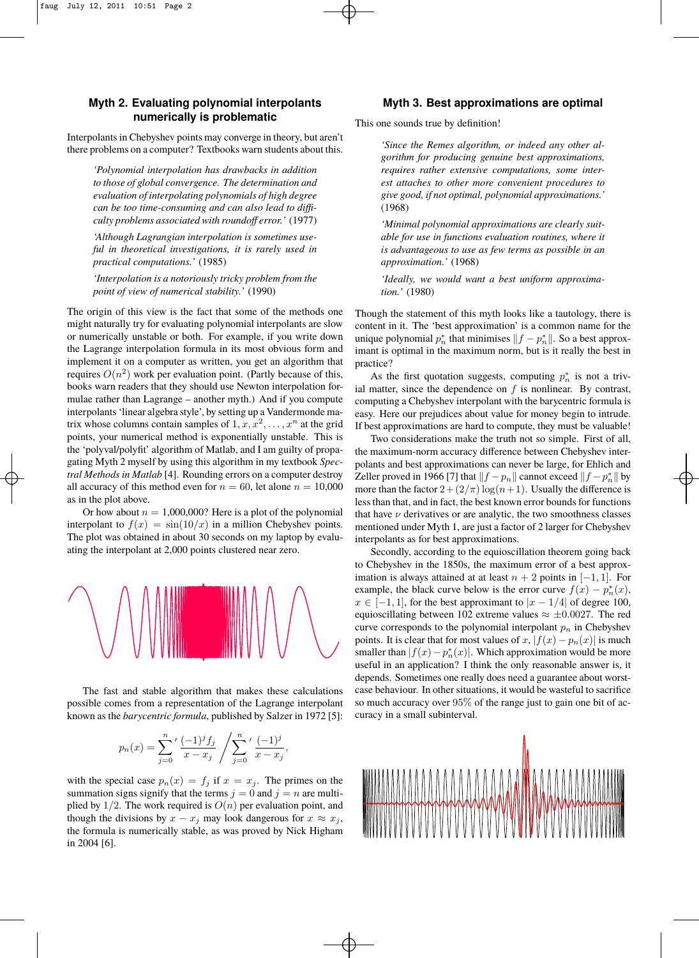☛ ✡ ✟

## **Myth 2. Evaluating polynomial interpolants numerically is problematic**

Interpolants in Chebyshev points may converge in theory, but aren't there problems on a computer? Textbooks warn students about this.

*'Polynomial interpolation has drawbacks in addition to those of global convergence. The determination and evaluation of interpolating polynomials of high degree can be too time-consuming and can also lead to difficulty problems associated with roundoff error.'* (1977)

*'Although Lagrangian interpolation is sometimes useful in theoretical investigations, it is rarely used in practical computations.'* (1985)

*'Interpolation is a notoriously tricky problem from the point of view of numerical stability.'* (1990)

The origin of this view is the fact that some of the methods one might naturally try for evaluating polynomial interpolants are slow or numerically unstable or both. For example, if you write down the Lagrange interpolation formula in its most obvious form and implement it on a computer as written, you get an algorithm that practice? requires  $O(n^2)$  work per evaluation point. (Partly because of this, books warn readers that they should use Newton interpolation for-<br>ial matter mulae rather than Lagrange – another myth.) And if you compute computing computing  $\epsilon$ interpolants 'linear algebra style', by setting up a Vandermonde ma- easy. Her trix whose columns contain samples of  $1, x, x^2, \ldots, x^n$  at the grid If best ap points, your numerical method is exponentially unstable. This is  $\tau_{\text{WO}}$ the 'polyval/polyfit' algorithm of Matlab, and I am guilty of propa-<br>the maximulae rather than 1 gating Myth 2 myself by using this algorithm in my textbook Spec-<br>polants and figure tral Methods in Matlab [4]. Rounding errors on a computer destroy  $\bar{z}_{\text{eller pro}}$ all accuracy of this method even for  $n = 60$ , let alone  $n = 10,000$  more than as in the plot above. I am guilty of propagating Myth 2 my text by using the set by using the set book and the  $\frac{1}{2}$ 

Or how about  $n = 1,000,000$ ? Here is a plot of the polynomial that have interpolant to  $f(x) = sin(10/x)$  in a million Chebyshev points. The plot was obtained in about 30 seconds on my laptop by evalu-<br>interpolant to the plot was obtained in about 30 seconds on my laptop by evaluating the interpolant at 2,000 points clustered near zero. Secon



The fast and stable algorithm that makes these calculations case beha possible comes from a representation of the Lagrange interpolant known as the *barycentric formula*, published by Salzer in 1972 [5]: curacy is

$$
p_n(x) = \sum_{j=0}^n \left( \frac{(-1)^j f_j}{x - x_j} / \sum_{j=0}^n \left( \frac{(-1)^j}{x - x_j} \right) \right)
$$

with the special case  $p_n(x) = f_j$  if  $x = x_j$ . The primes on the **all** summation signs signify that the terms  $j = 0$  and  $j = n$  are multithough the divisions by  $x - x_j$  may look dangerous for  $x \approx x_j$ ,<br>the formula is numerically stable, as was proved by Nick Higham in 2004 [6]. plied by  $1/2$ . The work required is  $O(n)$  per evaluation point, and the formula is numerically stable, as was proved by Nick Higham

 $\mathbf{b}$  approximation" is a common name for the unique polynomial polynomial polynomial polynomial polynomial polynomial polynomial polynomial polynomial polynomial polynomial polynomial polynomial polynomial polynomial p

☛ ✡  $\mathbf{a}$ ✠

by a finite sum,

n that minimizes  $\Gamma$ 

#### **Myth 3. Best approximations are optimal**

This one sounds true by definition!

✡  $\mathbf{a}$ ✠

> *'Since the Remes algorithm, or indeed any other algorithm for producing genuine best approximations, requires rather extensive computations, some interest attaches to other more convenient procedures to give good, if not optimal, polynomial approximations.'* (1968)

> *'Minimal polynomial approximations are clearly suitable for use in functions evaluation routines, where it is advantageous to use as few terms as possible in an approximation.'* (1968)

> *'Ideally, we would want a best uniform approximation.'* (1980)

Though the statement of this myth looks like a tautology, there is content in it. The 'best approximation' is a common name for the unique polynomial  $p_n^*$  that minimises  $||f - p_n^*||$ . So a best approximant is optimal in the maximum norm, but is it really the best in practice?

As the first quotation suggests, computing  $p_n^*$  is not a trivial matter, since the dependence on  $f$  is nonlinear. By contrast, computing a Chebyshev interpolant with the barycentric formula is easy. Here our prejudices about value for money begin to intrude. If best approximations are hard to compute, they must be valuable!

Two considerations make the truth not so simple. First of all, <sup>1-</sup> the maximum-norm accuracy difference between Chebyshev interpolants and best approximations can never be large, for Ehlich and troy  $\text{Zeller}$  proved in 1966 [7] that  $||f - p_n||$  cannot exceed  $||f - p_n||$  by 10,000 more than the factor  $2 + (2/\pi) \log(n+1)$ . Usually the difference is the bank and  $\frac{1}{2}$  ( $\frac{1}{2}$ ),  $\frac{1}{2}$  and  $\frac{1}{2}$  are about  $\frac{1}{2}$  are  $\frac{1}{2}$  and  $\frac{1}{2}$  are  $\frac{1}{2}$  and  $\frac{1}{2}$  are  $\frac{1}{2}$  and  $\frac{1}{2}$  are  $\frac{1}{2}$  and  $\frac{1}{2}$  are  $\frac{1}{2}$  and  $\frac{1}{2}$  a  $\alpha$  nomial that have  $\nu$  derivatives or are analytic, the two smoothness classes ints. mentioned under Myth 1, are just a factor of 2 larger for Chebyshev interpolants as for best approximations.  $\frac{1}{2}$  and  $\frac{1}{2}$  interpreted under Myur 1, are just a factor of 2 farger for Chebyshev

☛ ✡ ✟ ✠

seconds on my laptop by evaluating the interpolant at 2000 points clustered near zero.  $\alpha$  depends. From the interporants as for these approximations.<br>Secondly, according to the equioscillation theorem going back to Chebyshev in the 1850s, the maximum error of a best approximation is always attained at at least  $n + 2$  points in [-1, 1]. For example, the black curve below is the error curve  $f(x) - p<sub>n</sub><sup>*</sup>(x)$ ,  $x \in [-1, 1]$ , for the best approximant to  $|x - 1/4|$  of degree 100, equioscillating between 102 extreme values  $\approx \pm 0.0027$ . The red points in the point interpolant  $p_n$  in Chebyshev curve corresponds to the polynomial interpolant  $p_n$  in Chebyshev points. It is clear that for most values of x,  $|f(x) - p_n(x)|$  is much smaller than  $|f(x) - p<sub>n</sub><sup>*</sup>(x)|$ . Which approximation would be more useful in an application? I think the only reasonable answer is, it depends. Sometimes one really does need a guarantee about worst-<br>depends. Sometimes one really does need a guarantee about worstdepends. Sometimes one really does heed a guarantee about worst<br>ulations case behaviour. In other situations, it would be wasteful to sacrifice  $\frac{1}{2}$  and so much accuracy over  $95\%$  of the range just to gain one bit of accuracy in a small subinterval. Secondry, according to the equioscillation theorem going back  $\frac{1}{2}$  so much accuracy over  $\frac{1}{2}$  of the range just to gain one bit of ac-



 $\mathcal{L}_\mathcal{A}$  are usually derived from polynomials. We approximate an integral state and integrals. We approximate an integral state and integrals. We approximate an integral state and integrals. We approximate an integr

where  $\mathcal{N}(\mathcal{N}_{\mathcal{N}})$  and  $\mathcal{N}(\mathcal{N}_{\mathcal{N}})$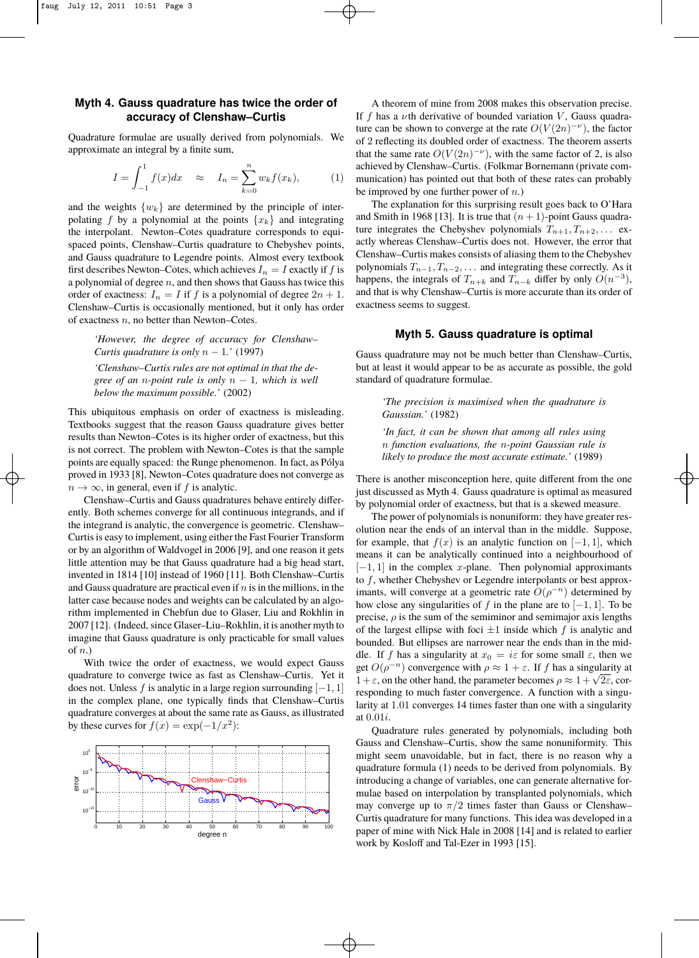## **Myth 4. Gauss quadrature has twice the order of accuracy of Clenshaw–Curtis**

Quadrature formulae are usually derived from polynomials. We approximate an integral by a finite sum,

$$
I = \int_{-1}^{1} f(x)dx \approx I_n = \sum_{k=0}^{n} w_k f(x_k), \quad (1)
$$

✡ ✟ ✠

and the weights  $\{w_k\}$  are determined by the principle of interpolating f by a polynomial at the points  $\{x_k\}$  and integrating the interpolant. Newton–Cotes quadrature corresponds to equispaced points, Clenshaw–Curtis quadrature to Chebyshev points, and Gauss quadrature to Legendre points. Almost every textbook first describes Newton–Cotes, which achieves  $I_n = I$  exactly if f is a polynomial of degree  $n$ , and then shows that Gauss has twice this order of exactness:  $I_n = I$  if f is a polynomial of degree  $2n + 1$ . Clenshaw–Curtis is occasionally mentioned, but it only has order of exactness n, no better than Newton–Cotes.

*'However, the degree of accuracy for Clenshaw– Curtis quadrature is only* n − 1*.'* (1997) *'Clenshaw–Curtis rules are not optimal in that the degree of an* n*-point rule is only* n − 1*, which is well below the maximum possible.'* (2002)

This ubiquitous emphasis on order of exactness is misleading. Textbooks suggest that the reason Gauss quadrature gives better results than Newton-Cotes is its higher order of exactness, but this is not correct. The problem with Newton–Cotes is that the sample points are equally spaced: the Runge phenomenon. In fact, as Pólya proved in 1933 [8], Newton–Cotes quadrature does not converge as  $T<sub>h</sub>$  $n \to \infty$ , in general, even if f is analytic.  $2n \times 1.00$  For the transmission mentioned, but it of  $2n \times 10^{-10}$  method.

☛ ✡ ✟ ✠

> Clenshaw–Curtis and Gauss quadratures behave entirely differently. Both schemes converge for all continuous integrands, and if <sup>oy</sup> the integrand is analytic, the convergence is geometric. Clenshaw-Curtis is easy to implement, using either the Fast Fourier Transform  $\epsilon_{\text{tot}}$ or by an algorithm of Waldvogel in 2006 [9], and one reason it gets  $\frac{m}{m}$ little attention may be that Gauss quadrature had a big head start, invented in 1814 [10] instead of 1960 [11]. Both Clenshaw–Curtis and Gauss quadrature are practical even if  $n$  is in the millions, in the im latter case because nodes and weights can be calculated by an algo- $_{\text{ho}}$ rithm implemented in Chebfun due to Glaser, Liu and Rokhlin in 2007 [12]. (Indeed, since Glaser–Liu–Rokhlin, it is another myth to  $\frac{\text{p}^{11}}{\text{of}}$ imagine that Gauss quadrature is only practicable for small values  $\frac{0}{h}$ of  $n$ .)  $B_0$  and  $B_1$  and  $B_2$  and  $B_3$  and  $B_4$  and  $B_5$  and  $B_6$  and  $B_7$  and  $B_8$  and  $B_7$  and  $B_8$  and  $B_7$  and  $B_8$  and  $B_7$  and  $B_8$  and  $B_7$  and  $B_8$  and  $B_8$  and  $B_8$  and  $B_8$  and  $B_8$  and  $B_8$  and  $\frac{1}{100}$  in the mass cause  $\frac{1}{100}$  and  $\frac{1}{100}$  can be calculated by and  $\frac{1}{100}$ algorithm implemented in  $\mathbb{R}^n$  and  $\mathbb{R}^n$  and  $\mathbb{R}^n$  and  $\mathbb{R}^n$  and  $\mathbb{R}^n$  and  $\mathbb{R}^n$  and  $\mathbb{R}^n$  and  $\mathbb{R}^n$  and  $\mathbb{R}^n$  and  $\mathbb{R}^n$  and  $\mathbb{R}^n$  and  $\mathbb{R}^n$  and  $\mathbb{R}^n$  and

> With twice the order of exactness, we would expect Gauss  $\epsilon_{\text{racine$ quadrature to converge twice as fast as Clenshaw–Curtis. Yet it does not. Unless f is analytic in a large region surrounding  $[-1, 1]$ the complex plane, one typically finds that Clenshaw–Curtis.  $\frac{1}{12}$  region of the complex plane, one typically finds that Clenshaw–Curtis. quadrature converges at about the same rate as Gauss, as illustrated at by these curves for  $f(x) = \exp(-1/x^2)$ :  $\frac{1}{2}$  in the complex plane, one typically finds that Clenshaw–Curtis  $\frac{1}{2}$



A theorem of mine from 2008 makes this observation precise. If f has a  $\nu$ th derivative of bounded variation V, Gauss quadrature can be shown to converge at the rate  $O(V(2n)^{-\nu})$ , the factor of 2 reflecting its doubled order of exactness. The theorem asserts that the same rate  $O(V(2n)^{-\nu})$ , with the same factor of 2, is also achieved by Clenshaw–Curtis. (Folkmar Bornemann (private communication) has pointed out that both of these rates can probably be improved by one further power of  $n$ .)

The explanation for this surprising result goes back to O'Hara and Smith in 1968 [13]. It is true that  $(n + 1)$ -point Gauss quadrature integrates the Chebyshev polynomials  $T_{n+1}, T_{n+2}, \ldots$  exactly whereas Clenshaw–Curtis does not. However, the error that Clenshaw–Curtis makes consists of aliasing them to the Chebyshev polynomials  $T_{n-1}, T_{n-2}, \ldots$  and integrating these correctly. As it happens, the integrals of  $T_{n+k}$  and  $T_{n-k}$  differ by only  $O(n^{-3})$ , and that is why Clenshaw–Curtis is more accurate than its order of exactness seems to suggest.

#### **Myth 5. Gauss quadrature is optimal**

Gauss quadrature may not be much better than Clenshaw–Curtis, but at least it would appear to be as accurate as possible, the gold standard of quadrature formulae.

*'The precision is maximised when the quadrature is Gaussian.'* (1982)

*'In fact, it can be shown that among all rules using* n *function evaluations, the* n*-point Gaussian rule is likely to produce the most accurate estimate.'* (1989)

There is another misconception here, quite different from the one just discussed as Myth 4. Gauss quadrature is optimal as measured by polynomial order of exactness, but that is a skewed measure.

☛ ✡  $\mathbf{a}^{\dagger}$ ✠

The power of polynomials is nonuniform: they have greater resolution near the ends of an interval than in the middle. Suppose, for example, that  $f(x)$  is an analytic function on  $[-1, 1]$ , which means it can be analytically continued into a neighbourhood of  $[-1, 1]$  in the complex x-plane. Then polynomial approximants to f, whether Chebyshev or Legendre interpolants or best approximants, will converge at a geometric rate  $O(\rho^{-n})$  determined by how close any singularities of f in the plane are to  $[-1, 1]$ . To be precise,  $\rho$  is the sum of the semiminor and semimajor axis lengths of the largest ellipse with foci  $\pm 1$  inside which f is analytic and bounded. But ellipses are narrower near the ends than in the middle. If f has a singularity at  $x_0 = i\varepsilon$  for some small  $\varepsilon$ , then we get  $O(\rho^{-n})$  convergence with  $\rho \approx 1 + \varepsilon$ . If f has a singularity at 1 +  $\varepsilon$ , on the other hand, the parameter becomes  $\rho \approx 1 + \sqrt{2\varepsilon}$ , corresponding to much faster convergence. A function with a singularity at 1.01 converges 14 times faster than one with a singularity at 0.01i.

Quadrature rules generated by polynomials, including both Gauss and Clenshaw–Curtis, show the same nonuniformity. This might seem unavoidable, but in fact, there is no reason why a quadrature formula (1) needs to be derived from polynomials. By introducing a change of variables, one can generate alternative formulae based on interpolation by transplanted polynomials, which may converge up to  $\pi/2$  times faster than Gauss or Clenshaw– Curtis quadrature for many functions. This idea was developed in a paper of mine with Nick Hale in 2008 [14] and is related to earlier work by Kosloff and Tal-Ezer in 1993 [15].

☛ ✡ ✟ ✠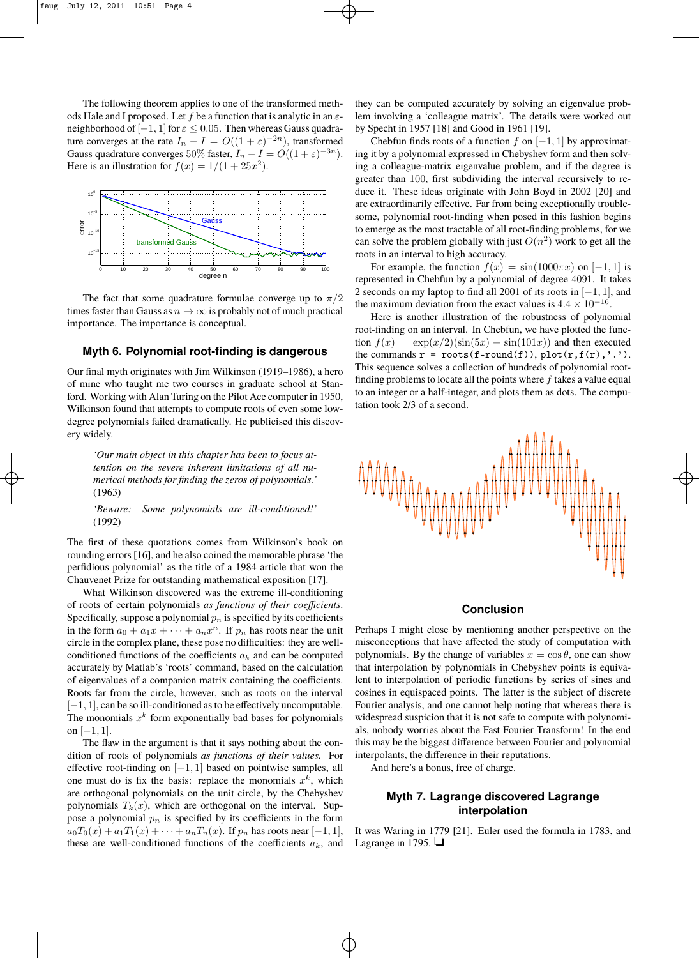The following theorem applies to one of the transformed methods Hale and I proposed. Let f be a function that is analytic in an  $\varepsilon$ neighborhood of  $[-1, 1]$  for  $\varepsilon \leq 0.05$ . Then whereas Gauss quadrature converges at the rate  $I_n - I = O((1 + \varepsilon)^{-2n})$ , transformed Gauss quadrature converges 50% faster,  $I_n - I = O((1 + \varepsilon)^{-3n})$ . Here is an illustration for  $f(x) = 1/(1 + 25x^2)$ .



The fact that some quadrature formulae converge up to  $\pi/2$ times faster than Gauss as  $n \to \infty$  is probably not of much practical importance. The importance is conceptual.

#### Myth 6. Polynomial root-finding is dangerous  $_{\rm th}$

Myth 6. Polynomial rootfinding is dangerous

 $\mathbf T$ Our final myth originates with Jim Wilkinson (1919–1986), a hero of mine who taught me two courses in graduate school at Stanford. Working with Alan Turing on the Pilot Ace computer in 1950,  $\frac{1}{\sqrt{2}}$  is the complete of all numerical methods for finding the zeros of  $\frac{1}{\sqrt{2}}$  (1963) Wilkinson found that attempts to compute roots of even some lowdegree polynomials failed dramatically. He publicised this discovery widely.

'Our main object in this chapter has been to focus at $t$ ention on the severe inherent limitations of all nu $s_{\text{in}}$  is contracted by interesting in the form and  $s_{\text{in}}$  in the form and  $s_{\text{in}}$  . *merical methods for finding the zeros of polynomials.'*  $(1963)$ (1963)

☛ ✡ ✟

> $c_1$  common density on the calculation of  $c_2$  and  $c_3$  containing  $c_3$ *'Beware: Some polynomials are ill-conditioned!'*<br>(1993)  $(1992)$ (1992)

> The first of these quotations comes from Wilkinson's book on rounding errors [16], and he also coined the memorable phrase 'the perfidious polynomial' as the title of a 1984 article that won the  $\overline{\text{O}}$  corrected points on the unit circle, by the unit circle,  $\overline{\text{O}}$ , which  $\overline{\text{O}}$ , which  $\overline{\text{O}}$ , which  $\overline{\text{O}}$ , which  $\overline{\text{O}}$ , which is a mathematical summation  $\overline{\text{O}}$ ,  $\overline{\text{O}}$ Chauvenet Prize for outstanding mathematical exposition [17].

What Wilkinson discovered was the extreme ill-conditioning of roots of certain polynomials *as functions of their coefficients*. Specifically, suppose a polynomial  $p_n$  is specified by its coefficients in the form  $a_0 + a_1x + \cdots + a_nx^n$ . If  $p_n$  has roots near the unit in the form  $a_0 + a_1x + \cdots + a_nx$ . If  $p_n$  has foots hear the time of the circle in the complex plane, these pose no difficulties: they are wellconditioned functions of the coefficients  $a_k$  and can be computed portunities accurately by Matlab's 'roots' command, based on the calculation th 7 Roots far from the circle, however, such as roots on the interval of eigenvalues of a companion matrix containing the coefficients. [−1, 1], can be so ill-conditioned as to be effectively uncomputable. The monomials  $x^k$  form exponentially bad bases for polynomials on  $[-1, 1]$ .

The flaw in the argument is that it says nothing about the condition of roots of polynomials *as functions of their values.* For effective root-finding on  $[-1, 1]$  based on pointwise samples, all one must do is fix the basis: replace the monomials  $x^k$ , which are orthogonal polynomials on the unit circle, by the Chebyshev polynomials  $T_k(x)$ , which are orthogonal on the interval. Sup-<br>interpolatic pose a polynomial  $p_n$  is specified by its coefficients in the form  $a_0T_0(x) + a_1T_1(x) + \cdots + a_nT_n(x)$ . If  $p_n$  has roots near  $[-1, 1]$ , these are well-conditioned functions of the coefficients  $a_k$ , and

they can be computed accurately by solving an eigenvalue problem involving a 'colleague matrix'. The details were worked out by Specht in 1957 [18] and Good in 1961 [19].

✡  $\mathbf{a}$ ✠

> Chebfun finds roots of a function  $f$  on  $[-1, 1]$  by approximating it by a polynomial expressed in Chebyshev form and then solving a colleague-matrix eigenvalue problem, and if the degree is greater than 100, first subdividing the interval recursively to reduce it. These ideas originate with John Boyd in 2002 [20] and are extraordinarily effective. Far from being exceptionally troublesome, polynomial root-finding when posed in this fashion begins to emerge as the most tractable of all root-finding problems, for we can solve the problem globally with just  $O(n^2)$  work to get all the roots in an interval to high accuracy.

 $\frac{1}{100}$  For example, the function  $f(x) = \sin(1000\pi x)$  on  $[-1, 1]$  is represented in Chebfun by a polynomial of degree 4091. It takes  $2 \text{ seconds on my laptop to find all } 2001 \text{ of its roots in } [-1, 1]$ , and the maximum deviation from the exact values is  $4.4 \times 10^{-16}$ .

For the random contract of the robustness of polynomial Here is another illustration of the robustness of polynomial root-finding on an interval. In Chebfun, we have plotted the funcfoot-initially on an interval. In Chebruit, we have protted the function  $f(x) = \exp(x/2)(\sin(5x) + \sin(101x))$  and then executed **OUS** the commands  $\mathbf{r} = \text{roots}(\mathbf{f}-\text{round}(\mathbf{f})), \text{plot}(\mathbf{r}, \mathbf{f}(\mathbf{r}), \cdot)$ .  $\delta$ ), a hero This sequence solves a collection of hundreds of polynomial rootat Stan-<br>finding problems to locate all the points where  $f$  takes a value equal  $\tau$  in 1950, to an integer or a half-integer, and plots them as dots. The compu $v_{\text{time}}$  tation took 2/3 of a second.  $\lim_{u \to 0} f(u) = \exp(u/2) (\sin(\omega t) + \sin(\omega t))$  and then executed



☛ ✡ ✟ ✠

#### **Conclusion**

the unit Perhaps I might close by mentioning another perspective on the are well- misconceptions that have affected the study of computation with omputed polynomials. By the change of variables  $x = \cos \theta$ , one can show lculation that interpolation by polynomials in Chebyshev points is equivafficients. lent to interpolation of periodic functions by series of sines and interval cosines in equispaced points. The latter is the subject of discrete poutable. Fourier analysis, and one cannot help noting that whereas there is formulations widespread suspicion that it is not safe to compute with polynomials, nobody worries about the Fast Fourier Transform! In the end con- this may be the biggest difference between Fourier and polynomial interpolants, the difference in their reputations.

 $M<sub>2</sub>$  and here's a bonus, free of charge.

☛ ✡  $\mathbf{a}$ ✠

## nebyshev **Myth 7. Lagrange discovered Lagrange interpolation**

It was Waring in 1779 [21]. Euler used the formula in 1783, and Lagrange in 1795.  $\Box$